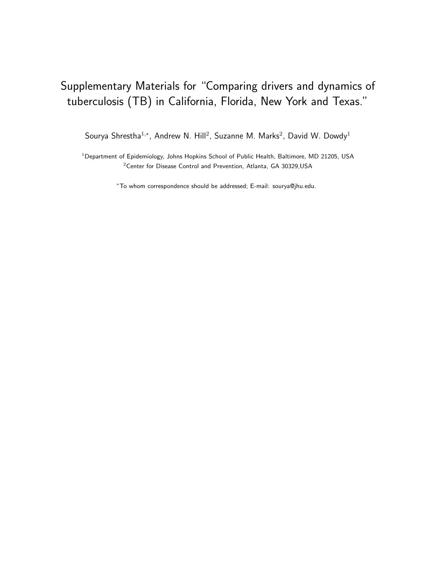# Supplementary Materials for "Comparing drivers and dynamics of tuberculosis (TB) in California, Florida, New York and Texas."

Sourya Shrestha<sup>1,\*</sup>, Andrew N. Hill<sup>2</sup>, Suzanne M. Marks<sup>2</sup>, David W. Dowdy<sup>1</sup>

<sup>1</sup> Department of Epidemiology, Johns Hopkins School of Public Health, Baltimore, MD 21205, USA <sup>2</sup>Center for Disease Control and Prevention, Atlanta, GA 30329,USA

<sup>∗</sup>To whom correspondence should be addressed; E-mail: sourya@jhu.edu.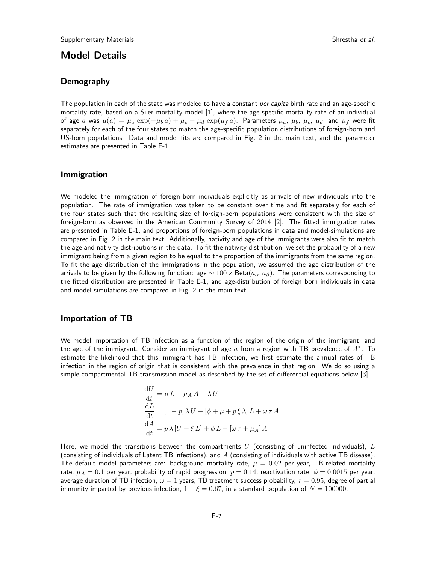# Model Details

# Demography

The population in each of the state was modeled to have a constant *per capita* birth rate and an age-specific mortality rate, based on a Siler mortality model [1], where the age-specific mortality rate of an individual of age a was  $\mu(a) = \mu_a \exp(-\mu_b a) + \mu_c + \mu_d \exp(\mu_f a)$ . Parameters  $\mu_a$ ,  $\mu_b$ ,  $\mu_c$ ,  $\mu_d$ , and  $\mu_f$  were fit separately for each of the four states to match the age-specific population distributions of foreign-born and US-born populations. Data and model fits are compared in Fig. 2 in the main text, and the parameter estimates are presented in Table E-1.

### Immigration

We modeled the immigration of foreign-born individuals explicitly as arrivals of new individuals into the population. The rate of immigration was taken to be constant over time and fit separately for each of the four states such that the resulting size of foreign-born populations were consistent with the size of foreign-born as observed in the American Community Survey of 2014 [2]. The fitted immigration rates are presented in Table E-1, and proportions of foreign-born populations in data and model-simulations are compared in Fig. 2 in the main text. Additionally, nativity and age of the immigrants were also fit to match the age and nativity distributions in the data. To fit the nativity distribution, we set the probability of a new immigrant being from a given region to be equal to the proportion of the immigrants from the same region. To fit the age distribution of the immigrations in the population, we assumed the age distribution of the arrivals to be given by the following function: age  $\sim 100 \times \text{Beta}(a_{\alpha}, a_{\beta})$ . The parameters corresponding to the fitted distribution are presented in Table E-1, and age-distribution of foreign born individuals in data and model simulations are compared in Fig. 2 in the main text.

### Importation of TB

 $\ddotsc$ 

We model importation of TB infection as a function of the region of the origin of the immigrant, and the age of the immigrant. Consider an immigrant of age  $a$  from a region with TB prevalence of  $A^*$ . To estimate the likelihood that this immigrant has TB infection, we first estimate the annual rates of TB infection in the region of origin that is consistent with the prevalence in that region. We do so using a simple compartmental TB transmission model as described by the set of differential equations below [3].

$$
\frac{dU}{dt} = \mu L + \mu_A A - \lambda U
$$
  

$$
\frac{dL}{dt} = [1 - p] \lambda U - [\phi + \mu + p\xi \lambda] L + \omega \tau A
$$
  

$$
\frac{dA}{dt} = p \lambda [U + \xi L] + \phi L - [\omega \tau + \mu_A] A
$$

Here, we model the transitions between the compartments  $U$  (consisting of uninfected individuals),  $L$ (consisting of individuals of Latent TB infections), and  $A$  (consisting of individuals with active TB disease). The default model parameters are: background mortality rate,  $\mu = 0.02$  per year, TB-related mortality rate,  $\mu_A = 0.1$  per year, probability of rapid progression,  $p = 0.14$ , reactivation rate,  $\phi = 0.0015$  per year, average duration of TB infection,  $\omega=1$  years, TB treatment success probability,  $\tau=0.95$ , degree of partial immunity imparted by previous infection,  $1 - \xi = 0.67$ , in a standard population of  $N = 100000$ .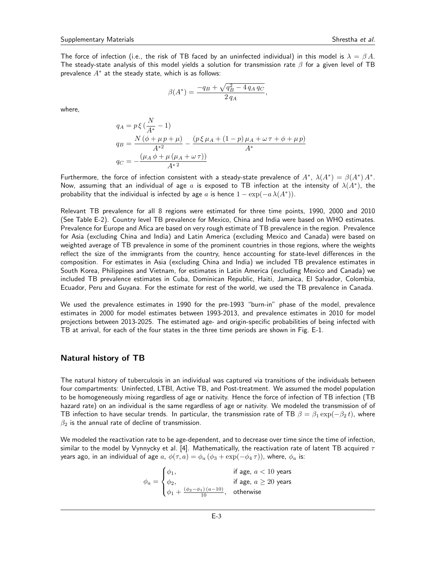The force of infection (i.e., the risk of TB faced by an uninfected individual) in this model is  $\lambda = \beta A$ . The steady-state analysis of this model yields a solution for transmission rate  $\beta$  for a given level of TB prevalence  $A^*$  at the steady state, which is as follows:

$$
\beta(A^*) = \frac{-q_B + \sqrt{q_B^2 - 4q_A q_C}}{2q_A},
$$

where,

$$
q_A = p \xi \left( \frac{N}{A^*} - 1 \right)
$$
  
\n
$$
q_B = \frac{N (\phi + \mu p + \mu)}{A^{*2}} - \frac{(p \xi \mu_A + (1 - p) \mu_A + \omega \tau + \phi + \mu p)}{A^*}
$$
  
\n
$$
q_C = -\frac{(\mu_A \phi + \mu (\mu_A + \omega \tau))}{A^{*2}}
$$

Furthermore, the force of infection consistent with a steady-state prevalence of  $A^*$ ,  $\lambda(A^*) = \beta(A^*) A^*$ . Now, assuming that an individual of age a is exposed to TB infection at the intensity of  $\lambda(A^*)$ , the probability that the individual is infected by age a is hence  $1 - \exp(-a \lambda(A^*))$ .

Relevant TB prevalence for all 8 regions were estimated for three time points, 1990, 2000 and 2010 (See Table E-2). Country level TB prevalence for Mexico, China and India were based on WHO estimates. Prevalence for Europe and Afica are based on very rough estimate of TB prevalence in the region. Prevalence for Asia (excluding China and India) and Latin America (excluding Mexico and Canada) were based on weighted average of TB prevalence in some of the prominent countries in those regions, where the weights reflect the size of the immigrants from the country, hence accounting for state-level differences in the composition. For estimates in Asia (excluding China and India) we included TB prevalence estimates in South Korea, Philippines and Vietnam, for estimates in Latin America (excluding Mexico and Canada) we included TB prevalence estimates in Cuba, Dominican Republic, Haiti, Jamaica, El Salvador, Colombia, Ecuador, Peru and Guyana. For the estimate for rest of the world, we used the TB prevalence in Canada.

We used the prevalence estimates in 1990 for the pre-1993 "burn-in" phase of the model, prevalence estimates in 2000 for model estimates between 1993-2013, and prevalence estimates in 2010 for model projections between 2013-2025. The estimated age- and origin-specific probabilities of being infected with TB at arrival, for each of the four states in the three time periods are shown in Fig. E-1.

### Natural history of TB

The natural history of tuberculosis in an individual was captured via transitions of the individuals between four compartments: Uninfected, LTBI, Active TB, and Post-treatment. We assumed the model population to be homogeneously mixing regardless of age or nativity. Hence the force of infection of TB infection (TB hazard rate) on an individual is the same regardless of age or nativity. We modeled the transmission of of TB infection to have secular trends. In particular, the transmission rate of TB  $\beta = \beta_1 \exp(-\beta_2 t)$ , where  $\beta_2$  is the annual rate of decline of transmission.

We modeled the reactivation rate to be age-dependent, and to decrease over time since the time of infection, similar to the model by Vynnycky et al. [4]. Mathematically, the reactivation rate of latent TB acquired  $\tau$ years ago, in an individual of age a,  $\phi(\tau, a) = \phi_a (\phi_3 + \exp(-\phi_4 \tau))$ , where,  $\phi_a$  is:

$$
\phi_a = \begin{cases} \phi_1, & \text{if age, } a < 10 \text{ years} \\ \phi_2, & \text{if age, } a \ge 20 \text{ years} \\ \phi_1 + \frac{(\phi_2 - \phi_1)(a - 10)}{10}, & \text{otherwise} \end{cases}
$$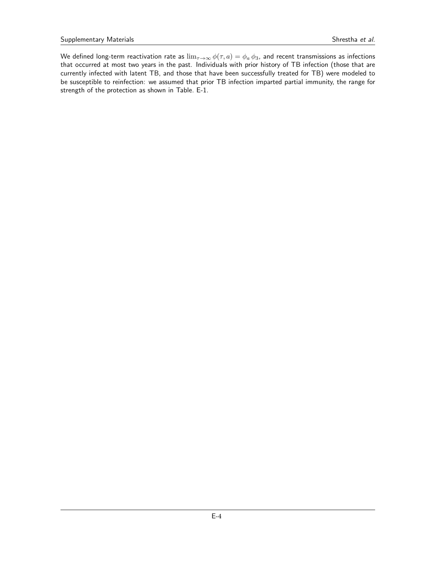We defined long-term reactivation rate as  $\lim_{\tau\to\infty}\phi(\tau,a)=\phi_a\,\phi_3$ , and recent transmissions as infections that occurred at most two years in the past. Individuals with prior history of TB infection (those that are currently infected with latent TB, and those that have been successfully treated for TB) were modeled to be susceptible to reinfection: we assumed that prior TB infection imparted partial immunity, the range for strength of the protection as shown in Table. E-1.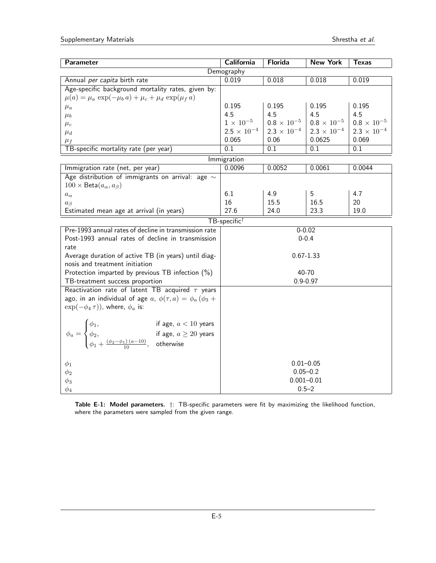| Parameter                                                                                                                                                                                                     | <b>California</b>             | <b>Florida</b>       | <b>New York</b>      | <b>Texas</b>           |  |
|---------------------------------------------------------------------------------------------------------------------------------------------------------------------------------------------------------------|-------------------------------|----------------------|----------------------|------------------------|--|
| Demography                                                                                                                                                                                                    |                               |                      |                      |                        |  |
| Annual per capita birth rate                                                                                                                                                                                  | 0.019                         | 0.018                | 0.018                | 0.019                  |  |
| Age-specific background mortality rates, given by:                                                                                                                                                            |                               |                      |                      |                        |  |
| $\mu(a) = \mu_a \exp(-\mu_b a) + \mu_c + \mu_d \exp(\mu_f a)$                                                                                                                                                 |                               |                      |                      |                        |  |
| $\mu_a$                                                                                                                                                                                                       | 0.195                         | 0.195                | 0.195                | 0.195                  |  |
| $\mu_b$                                                                                                                                                                                                       | 4.5                           | 4.5                  | 4.5                  | 4.5                    |  |
| $\mu_c$                                                                                                                                                                                                       | $1\times10^{-5}$              | $0.8\times10^{-5}$   | $0.8 \times 10^{-5}$ | $0.8\,\times\,10^{-5}$ |  |
| $\mu_d$                                                                                                                                                                                                       | $2.5 \times 10^{-4}$          | $2.3 \times 10^{-4}$ | $2.3 \times 10^{-4}$ | $2.3 \times 10^{-4}$   |  |
| $\mu_f$                                                                                                                                                                                                       | 0.065                         | 0.06                 | 0.0625               | 0.069                  |  |
| TB-specific mortality rate (per year)                                                                                                                                                                         | 0.1                           | 0.1                  | 0.1                  | 0.1                    |  |
|                                                                                                                                                                                                               | Immigration                   |                      |                      |                        |  |
| Immigration rate (net, per year)                                                                                                                                                                              | 0.0096                        | 0.0052               | 0.0061               | 0.0044                 |  |
| Age distribution of immigrants on arrival: age $\sim$                                                                                                                                                         |                               |                      |                      |                        |  |
| $100 \times \text{Beta}(a_{\alpha}, a_{\beta})$                                                                                                                                                               |                               |                      |                      |                        |  |
| $a_\alpha$                                                                                                                                                                                                    | 6.1                           | 4.9                  | 5                    | 4.7                    |  |
| $a_{\beta}$                                                                                                                                                                                                   | 16                            | 15.5                 | 16.5                 | 20                     |  |
| Estimated mean age at arrival (in years)                                                                                                                                                                      | 27.6                          | 24.0                 | 23.3                 | 19.0                   |  |
|                                                                                                                                                                                                               | TB-specific <sup>†</sup>      |                      |                      |                        |  |
| Pre-1993 annual rates of decline in transmission rate                                                                                                                                                         | $0 - 0.02$                    |                      |                      |                        |  |
| Post-1993 annual rates of decline in transmission                                                                                                                                                             | $0 - 0.4$                     |                      |                      |                        |  |
| rate                                                                                                                                                                                                          |                               |                      |                      |                        |  |
| Average duration of active TB (in years) until diag-                                                                                                                                                          | $0.67 - 1.33$                 |                      |                      |                        |  |
| nosis and treatment initiation                                                                                                                                                                                |                               |                      |                      |                        |  |
| Protection imparted by previous TB infection $(\%)$                                                                                                                                                           | 40-70                         |                      |                      |                        |  |
| TB-treatment success proportion                                                                                                                                                                               | $0.9 - 0.97$                  |                      |                      |                        |  |
| Reactivation rate of latent TB acquired $\tau$ years                                                                                                                                                          |                               |                      |                      |                        |  |
| ago, in an individual of age a, $\phi(\tau, a) = \phi_a(\phi_3 + a)$                                                                                                                                          |                               |                      |                      |                        |  |
| $\exp(-\phi_4 \tau)$ , where, $\phi_a$ is:                                                                                                                                                                    |                               |                      |                      |                        |  |
|                                                                                                                                                                                                               |                               |                      |                      |                        |  |
|                                                                                                                                                                                                               |                               |                      |                      |                        |  |
|                                                                                                                                                                                                               |                               |                      |                      |                        |  |
| $\phi_a = \begin{cases} \phi_1, & \text{if age, } a < 10 \text{ years} \\ \phi_2, & \text{if age, } a \geq 20 \text{ years} \\ \phi_1 + \frac{(\phi_2 - \phi_1)(a - 10)}{10}, & \text{otherwise} \end{cases}$ |                               |                      |                      |                        |  |
|                                                                                                                                                                                                               |                               |                      |                      |                        |  |
|                                                                                                                                                                                                               |                               |                      |                      |                        |  |
|                                                                                                                                                                                                               | $0.01 - 0.05$<br>$0.05 - 0.2$ |                      |                      |                        |  |
|                                                                                                                                                                                                               | $0.001 - 0.01$                |                      |                      |                        |  |
|                                                                                                                                                                                                               |                               |                      |                      |                        |  |
| $\phi_1$<br>$\phi_2$<br>$\phi_3$<br>$\phi_4$                                                                                                                                                                  |                               |                      | $0.5 - 2$            |                        |  |

Table E-1: Model parameters.  $\dagger$ : TB-specific parameters were fit by maximizing the likelihood function, where the parameters were sampled from the given range.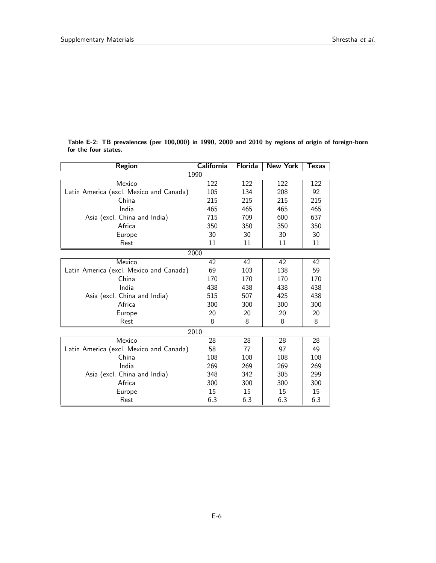| <b>Region</b>                           | <b>California</b> | <b>Florida</b> | <b>New York</b> | Texas |  |  |  |  |
|-----------------------------------------|-------------------|----------------|-----------------|-------|--|--|--|--|
| 1990                                    |                   |                |                 |       |  |  |  |  |
| Mexico                                  | 122               | 122            | 122             | 122   |  |  |  |  |
| Latin America (excl. Mexico and Canada) | 105               | 134            | 208             | 92    |  |  |  |  |
| China                                   | 215               | 215            | 215             | 215   |  |  |  |  |
| India                                   | 465               | 465            | 465             | 465   |  |  |  |  |
| Asia (excl. China and India)            | 715               | 709            | 600             | 637   |  |  |  |  |
| Africa                                  | 350               | 350            | 350             | 350   |  |  |  |  |
| Europe                                  | 30                | 30             | 30              | 30    |  |  |  |  |
| Rest                                    | 11                | 11             | 11              | 11    |  |  |  |  |
| 2000                                    |                   |                |                 |       |  |  |  |  |
| Mexico                                  | 42                | 42             | 42              | 42    |  |  |  |  |
| Latin America (excl. Mexico and Canada) | 69                | 103            | 138             | 59    |  |  |  |  |
| China                                   | 170               | 170            | 170             | 170   |  |  |  |  |
| India                                   | 438               | 438            | 438             | 438   |  |  |  |  |
| Asia (excl. China and India)            | 515               | 507            | 425             | 438   |  |  |  |  |
| Africa                                  | 300               | 300            | 300             | 300   |  |  |  |  |
| Europe                                  | 20                | 20             | 20              | 20    |  |  |  |  |
| Rest                                    | 8                 | 8              | 8               | 8     |  |  |  |  |
| 2010                                    |                   |                |                 |       |  |  |  |  |
| Mexico                                  | 28                | 28             | 28              | 28    |  |  |  |  |
| Latin America (excl. Mexico and Canada) | 58                | 77             | 97              | 49    |  |  |  |  |
| China                                   | 108               | 108            | 108             | 108   |  |  |  |  |
| India                                   | 269               | 269            | 269             | 269   |  |  |  |  |
| Asia (excl. China and India)            | 348               | 342            | 305             | 299   |  |  |  |  |
| Africa                                  | 300               | 300            | 300             | 300   |  |  |  |  |
| Europe                                  | 15                | 15             | 15              | 15    |  |  |  |  |
| Rest                                    | 6.3               | 6.3            | 6.3             | 6.3   |  |  |  |  |

Table E-2: TB prevalences (per 100,000) in 1990, 2000 and 2010 by regions of origin of foreign-born for the four states.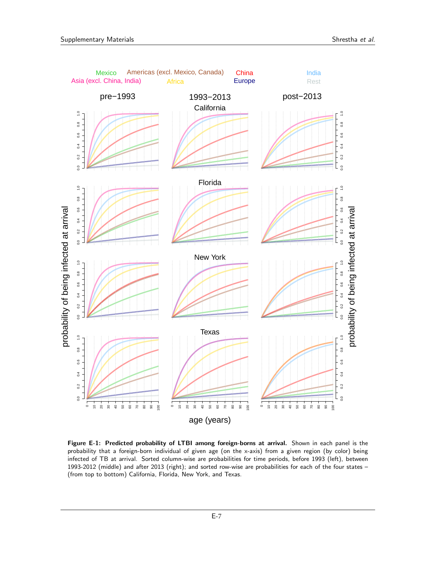

Figure E-1: Predicted probability of LTBI among foreign-borns at arrival. Shown in each panel is the probability that a foreign-born individual of given age (on the x-axis) from a given region (by color) being infected of TB at arrival. Sorted column-wise are probabilities for time periods, before 1993 (left), between 1993-2012 (middle) and after 2013 (right); and sorted row-wise are probabilities for each of the four states – (from top to bottom) California, Florida, New York, and Texas.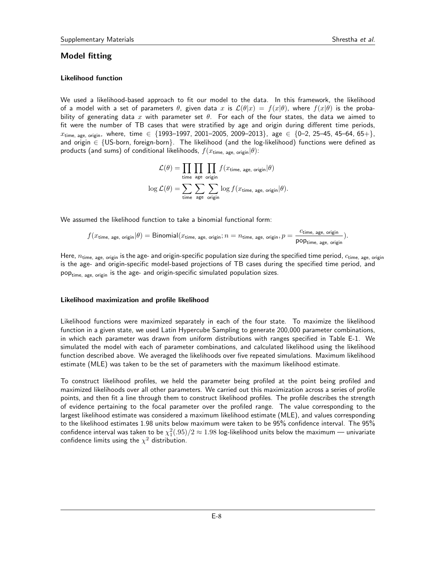## Model fitting

## Likelihood function

We used a likelihood-based approach to fit our model to the data. In this framework, the likelihood of a model with a set of parameters  $\theta$ , given data x is  $\mathcal{L}(\theta|x) = f(x|\theta)$ , where  $f(x|\theta)$  is the probability of generating data x with parameter set  $\theta$ . For each of the four states, the data we aimed to fit were the number of TB cases that were stratified by age and origin during different time periods,  $x_{time, age, origin}$ , where, time  $\in \{1993-1997, 2001-2005, 2009-2013\}$ , age  $\in \{0-2, 25-45, 45-64, 65+\}$ and origin  $\in \{US\text{-born}, \text{foreign-born}\}\$ . The likelihood (and the log-likelihood) functions were defined as products (and sums) of conditional likelihoods,  $f(x_{time, aee, origin}|\theta)$ :

$$
\mathcal{L}(\theta) = \prod_{\text{time age}} \prod_{\text{age origin}} f(x_{\text{time, age, origin}} | \theta)
$$

$$
\log \mathcal{L}(\theta) = \sum_{\text{time age}} \sum_{\text{origin}} \sum_{\text{origin}} \log f(x_{\text{time, age, origin}} | \theta).
$$

We assumed the likelihood function to take a binomial functional form:

$$
f(x_{time, age, origin}|\theta) = Binomial(x_{time, age, origin}; n = n_{time, age, origin}, p = \frac{c_{time, age, origin}}{pop_{time, age, origin}}).
$$

Here,  $n_{time, age, origin}$  is the age- and origin-specific population size during the specified time period,  $c_{time, age, origin}$ is the age- and origin-specific model-based projections of TB cases during the specified time period, and pop<sub>time, age, origin</sub> is the age- and origin-specific simulated population sizes.

#### Likelihood maximization and profile likelihood

Likelihood functions were maximized separately in each of the four state. To maximize the likelihood function in a given state, we used Latin Hypercube Sampling to generate 200,000 parameter combinations, in which each parameter was drawn from uniform distributions with ranges specified in Table E-1. We simulated the model with each of parameter combinations, and calculated likelihood using the likelihood function described above. We averaged the likelihoods over five repeated simulations. Maximum likelihood estimate (MLE) was taken to be the set of parameters with the maximum likelihood estimate.

To construct likelihood profiles, we held the parameter being profiled at the point being profiled and maximized likelihoods over all other parameters. We carried out this maximization across a series of profile points, and then fit a line through them to construct likelihood profiles. The profile describes the strength of evidence pertaining to the focal parameter over the profiled range. The value corresponding to the largest likelihood estimate was considered a maximum likelihood estimate (MLE), and values corresponding to the likelihood estimates 1.98 units below maximum were taken to be 95% confidence interval. The 95% confidence interval was taken to be  $\chi_1^2(.95)/2 \approx 1.98$  log-likelihood units below the maximum — univariate confidence limits using the  $\chi^2$  distribution.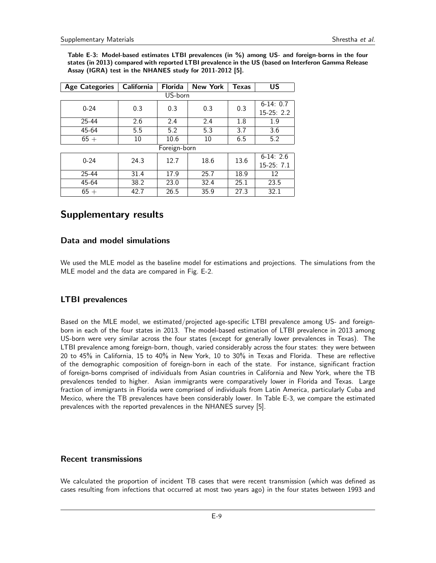Table E-3: Model-based estimates LTBI prevalences (in %) among US- and foreign-borns in the four states (in 2013) compared with reported LTBI prevalence in the US (based on Interferon Gamma Release Assay (IGRA) test in the NHANES study for 2011-2012 [5].

| <b>Age Categories</b> | California | <b>Florida</b> | <b>New York</b> | <b>Texas</b> | US          |  |  |  |
|-----------------------|------------|----------------|-----------------|--------------|-------------|--|--|--|
| US-born               |            |                |                 |              |             |  |  |  |
| $0 - 24$              | 0.3        |                | 0.3<br>0.3      | 0.3          | $6-14:0.7$  |  |  |  |
|                       |            |                |                 |              | $15-25:2.2$ |  |  |  |
| 25-44                 | 2.6        | 2.4            | 2.4             | 1.8          | 1.9         |  |  |  |
| 45-64                 | 5.5        | 5.2            | 5.3             | 3.7          | 3.6         |  |  |  |
| $65+$                 | 10         | 10.6           | 10              | 6.5          | 5.2         |  |  |  |
| Foreign-born          |            |                |                 |              |             |  |  |  |
| $0 - 24$              | 24.3       | 12.7           | 18.6            | 13.6         | $6-14:2.6$  |  |  |  |
|                       |            |                |                 |              | 15-25: 7.1  |  |  |  |
| $25 - 44$             | 31.4       | 17.9           | 25.7            | 18.9         | 12          |  |  |  |
| 45-64                 | 38.2       | 23.0           | 32.4            | 25.1         | 23.5        |  |  |  |
| $65 +$                | 42.7       | 26.5           | 35.9            | 27.3         | 32.1        |  |  |  |

# Supplementary results

# Data and model simulations

We used the MLE model as the baseline model for estimations and projections. The simulations from the MLE model and the data are compared in Fig. E-2.

# LTBI prevalences

Based on the MLE model, we estimated/projected age-specific LTBI prevalence among US- and foreignborn in each of the four states in 2013. The model-based estimation of LTBI prevalence in 2013 among US-born were very similar across the four states (except for generally lower prevalences in Texas). The LTBI prevalence among foreign-born, though, varied considerably across the four states: they were between 20 to 45% in California, 15 to 40% in New York, 10 to 30% in Texas and Florida. These are reflective of the demographic composition of foreign-born in each of the state. For instance, significant fraction of foreign-borns comprised of individuals from Asian countries in California and New York, where the TB prevalences tended to higher. Asian immigrants were comparatively lower in Florida and Texas. Large fraction of immigrants in Florida were comprised of individuals from Latin America, particularly Cuba and Mexico, where the TB prevalences have been considerably lower. In Table E-3, we compare the estimated prevalences with the reported prevalences in the NHANES survey [5].

# Recent transmissions

We calculated the proportion of incident TB cases that were recent transmission (which was defined as cases resulting from infections that occurred at most two years ago) in the four states between 1993 and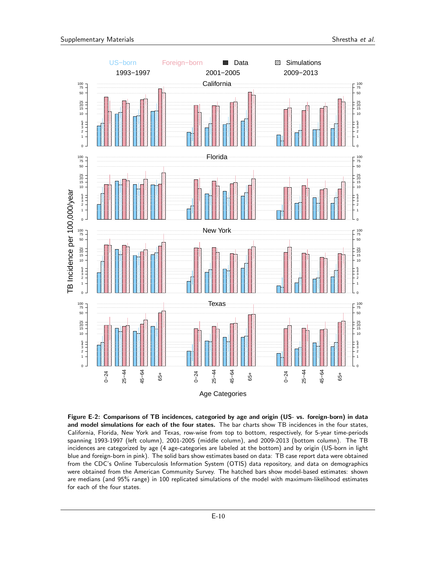

Figure E-2: Comparisons of TB incidences, categoried by age and origin (US- vs. foreign-born) in data and model simulations for each of the four states. The bar charts show TB incidences in the four states, California, Florida, New York and Texas, row-wise from top to bottom, respectively, for 5-year time-periods spanning 1993-1997 (left column), 2001-2005 (middle column), and 2009-2013 (bottom column). The TB incidences are categorized by age (4 age-categories are labeled at the bottom) and by origin (US-born in light blue and foreign-born in pink). The solid bars show estimates based on data: TB case report data were obtained from the CDC's Online Tuberculosis Information System (OTIS) data repository, and data on demographics were obtained from the American Community Survey. The hatched bars show model-based estimates: shown are medians (and 95% range) in 100 replicated simulations of the model with maximum-likelihood estimates for each of the four states.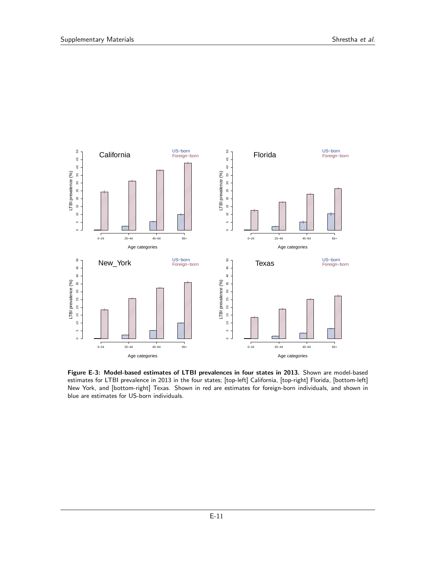

Figure E-3: Model-based estimates of LTBI prevalences in four states in 2013. Shown are model-based estimates for LTBI prevalence in 2013 in the four states; [top-left] California, [top-right] Florida, [bottom-left] New York, and [bottom-right] Texas. Shown in red are estimates for foreign-born individuals, and shown in blue are estimates for US-born individuals.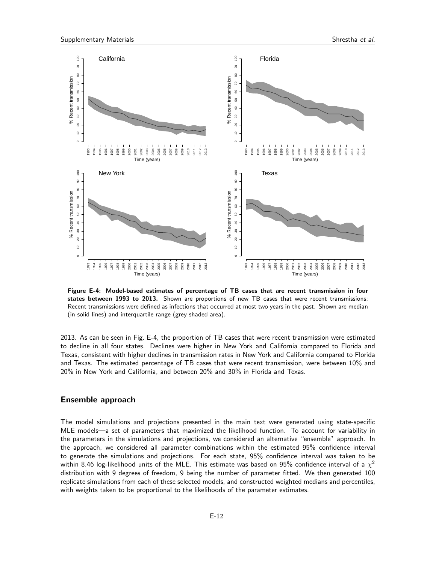

Figure E-4: Model-based estimates of percentage of TB cases that are recent transmission in four states between 1993 to 2013. Shown are proportions of new TB cases that were recent transmissions: Recent transmissions were defined as infections that occurred at most two years in the past. Shown are median (in solid lines) and interquartile range (grey shaded area).

2013. As can be seen in Fig. E-4, the proportion of TB cases that were recent transmission were estimated to decline in all four states. Declines were higher in New York and California compared to Florida and Texas, consistent with higher declines in transmission rates in New York and California compared to Florida and Texas. The estimated percentage of TB cases that were recent transmission, were between 10% and 20% in New York and California, and between 20% and 30% in Florida and Texas.

### Ensemble approach

The model simulations and projections presented in the main text were generated using state-specific MLE models—a set of parameters that maximized the likelihood function. To account for variability in the parameters in the simulations and projections, we considered an alternative "ensemble" approach. In the approach, we considered all parameter combinations within the estimated 95% confidence interval to generate the simulations and projections. For each state, 95% confidence interval was taken to be within 8.46 log-likelihood units of the MLE. This estimate was based on 95% confidence interval of a  $\chi^2$ distribution with 9 degrees of freedom, 9 being the number of parameter fitted. We then generated 100 replicate simulations from each of these selected models, and constructed weighted medians and percentiles, with weights taken to be proportional to the likelihoods of the parameter estimates.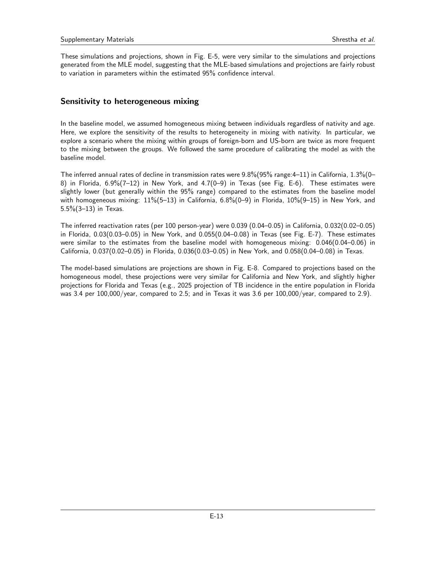These simulations and projections, shown in Fig. E-5, were very similar to the simulations and projections generated from the MLE model, suggesting that the MLE-based simulations and projections are fairly robust to variation in parameters within the estimated 95% confidence interval.

# Sensitivity to heterogeneous mixing

In the baseline model, we assumed homogeneous mixing between individuals regardless of nativity and age. Here, we explore the sensitivity of the results to heterogeneity in mixing with nativity. In particular, we explore a scenario where the mixing within groups of foreign-born and US-born are twice as more frequent to the mixing between the groups. We followed the same procedure of calibrating the model as with the baseline model.

The inferred annual rates of decline in transmission rates were 9.8%(95% range:4–11) in California, 1.3%(0– 8) in Florida, 6.9%(7–12) in New York, and 4.7(0–9) in Texas (see Fig. E-6). These estimates were slightly lower (but generally within the 95% range) compared to the estimates from the baseline model with homogeneous mixing: 11%(5–13) in California, 6.8%(0–9) in Florida, 10%(9–15) in New York, and 5.5%(3–13) in Texas.

The inferred reactivation rates (per 100 person-year) were 0.039 (0.04–0.05) in California, 0.032(0.02–0.05) in Florida, 0.03(0.03–0.05) in New York, and 0.055(0.04–0.08) in Texas (see Fig. E-7). These estimates were similar to the estimates from the baseline model with homogeneous mixing: 0.046(0.04–0.06) in California, 0.037(0.02–0.05) in Florida, 0.036(0.03–0.05) in New York, and 0.058(0.04–0.08) in Texas.

The model-based simulations are projections are shown in Fig. E-8. Compared to projections based on the homogeneous model, these projections were very similar for California and New York, and slightly higher projections for Florida and Texas (e.g., 2025 projection of TB incidence in the entire population in Florida was 3.4 per 100,000/year, compared to 2.5; and in Texas it was 3.6 per 100,000/year, compared to 2.9).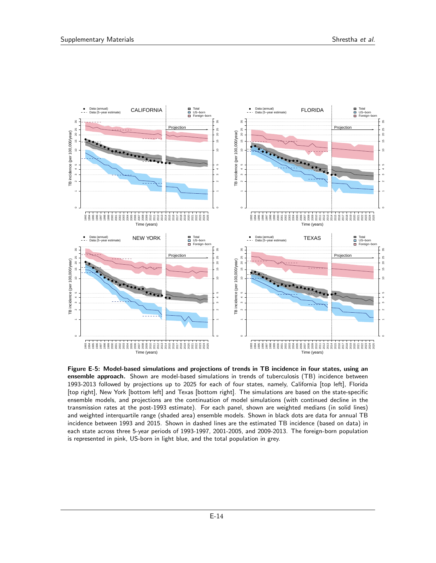

Figure E-5: Model-based simulations and projections of trends in TB incidence in four states, using an ensemble approach. Shown are model-based simulations in trends of tuberculosis (TB) incidence between 1993-2013 followed by projections up to 2025 for each of four states, namely, California [top left], Florida [top right], New York [bottom left] and Texas [bottom right]. The simulations are based on the state-specific ensemble models, and projections are the continuation of model simulations (with continued decline in the transmission rates at the post-1993 estimate). For each panel, shown are weighted medians (in solid lines) and weighted interquartile range (shaded area) ensemble models. Shown in black dots are data for annual TB incidence between 1993 and 2015. Shown in dashed lines are the estimated TB incidence (based on data) in each state across three 5-year periods of 1993-1997, 2001-2005, and 2009-2013. The foreign-born population is represented in pink, US-born in light blue, and the total population in grey.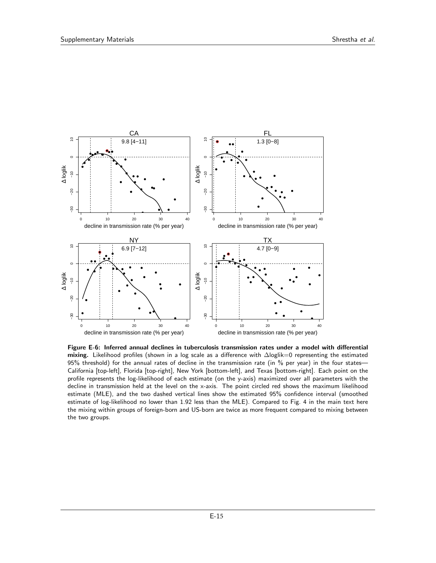

Figure E-6: Inferred annual declines in tuberculosis transmission rates under a model with differential mixing. Likelihood profiles (shown in a log scale as a difference with ∆loglik=0 representing the estimated 95% threshold) for the annual rates of decline in the transmission rate (in % per year) in the four states— California [top-left], Florida [top-right], New York [bottom-left], and Texas [bottom-right]. Each point on the profile represents the log-likelihood of each estimate (on the y-axis) maximized over all parameters with the decline in transmission held at the level on the x-axis. The point circled red shows the maximum likelihood estimate (MLE), and the two dashed vertical lines show the estimated 95% confidence interval (smoothed estimate of log-likelihood no lower than 1.92 less than the MLE). Compared to Fig. 4 in the main text here the mixing within groups of foreign-born and US-born are twice as more frequent compared to mixing between the two groups.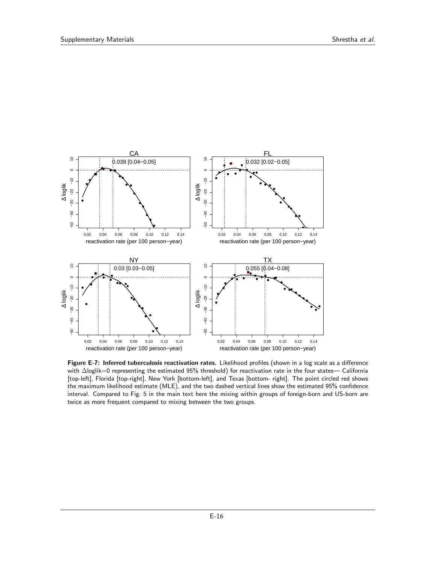

Figure E-7: Inferred tuberculosis reactivation rates. Likelihood profiles (shown in a log scale as a difference with ∆loglik=0 representing the estimated 95% threshold) for reactivation rate in the four states— California [top-left], Florida [top-right], New York [bottom-left], and Texas [bottom- right]. The point circled red shows the maximum likelihood estimate (MLE), and the two dashed vertical lines show the estimated 95% confidence interval. Compared to Fig. 5 in the main text here the mixing within groups of foreign-born and US-born are twice as more frequent compared to mixing between the two groups.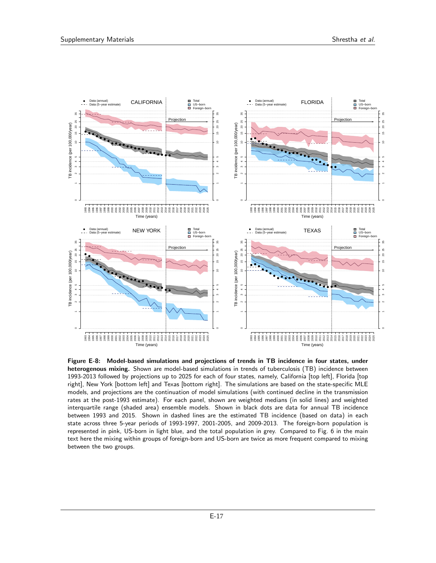

Figure E-8: Model-based simulations and projections of trends in TB incidence in four states, under heterogenous mixing. Shown are model-based simulations in trends of tuberculosis (TB) incidence between 1993-2013 followed by projections up to 2025 for each of four states, namely, California [top left], Florida [top right], New York [bottom left] and Texas [bottom right]. The simulations are based on the state-specific MLE models, and projections are the continuation of model simulations (with continued decline in the transmission rates at the post-1993 estimate). For each panel, shown are weighted medians (in solid lines) and weighted interquartile range (shaded area) ensemble models. Shown in black dots are data for annual TB incidence between 1993 and 2015. Shown in dashed lines are the estimated TB incidence (based on data) in each state across three 5-year periods of 1993-1997, 2001-2005, and 2009-2013. The foreign-born population is represented in pink, US-born in light blue, and the total population in grey. Compared to Fig. 6 in the main text here the mixing within groups of foreign-born and US-born are twice as more frequent compared to mixing between the two groups.